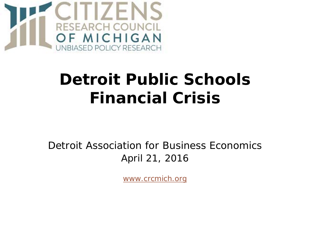

## **Detroit Public Schools Financial Crisis**

Detroit Association for Business Economics April 21, 2016

*[www.crcmich.org](http://www.crcmich.org/)*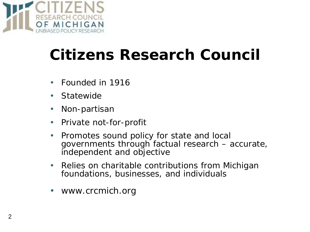

## **Citizens Research Council**

- Founded in 1916
- Statewide
- Non-partisan
- Private not-for-profit
- Promotes sound policy for state and local governments through factual research – accurate, independent and objective
- Relies on charitable contributions from Michigan foundations, businesses, and individuals
- *www.crcmich.org*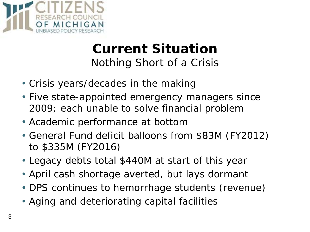

#### **Current Situation** *Nothing Short of a Crisis*

- Crisis years/decades in the making
- Five state-appointed emergency managers since 2009; each unable to solve financial problem
- Academic performance at bottom
- General Fund deficit balloons from \$83M (FY2012) to \$335M (FY2016)
- Legacy debts total \$440M at start of this year
- April cash shortage averted, but lays dormant
- DPS continues to hemorrhage students (revenue)
- Aging and deteriorating capital facilities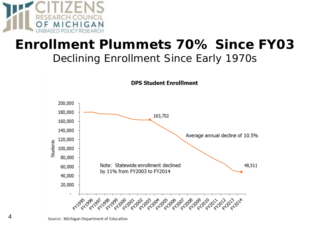

# **Enrollment Plummets 70% Since FY03**

#### *Declining Enrollment Since Early 1970s*



Source: Michigan Department of Education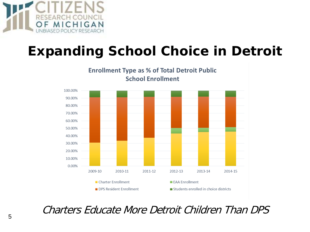

### **Expanding School Choice in Detroit**



Charters Educate More Detroit Children Than DPS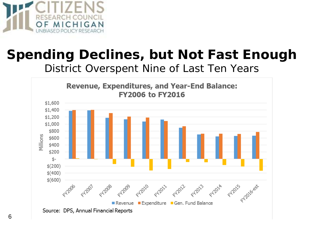

#### **Spending Declines, but Not Fast Enough** *District Overspent Nine of Last Ten Years*

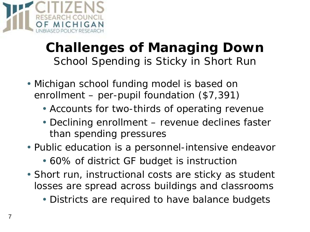

#### **Challenges of Managing Down** *School Spending is Sticky in Short Run*

- Michigan school funding model is based on enrollment – per-pupil foundation (\$7,391)
	- Accounts for two-thirds of operating revenue
	- Declining enrollment revenue declines faster than spending pressures
- Public education is a personnel-intensive endeavor
	- 60% of district GF budget is instruction
- Short run, instructional costs are sticky as student losses are spread across buildings and classrooms
	- Districts are required to have balance budgets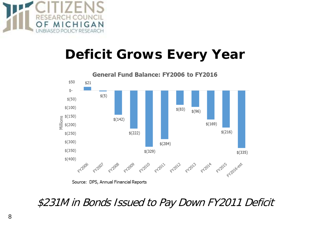

### **Deficit Grows Every Year**



#### \$231M in Bonds Issued to Pay Down FY2011 Deficit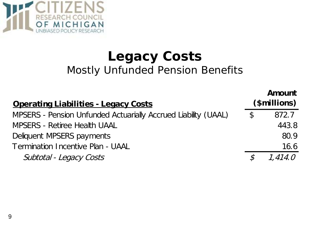

#### **Legacy Costs** *Mostly Unfunded Pension Benefits*

**Amount** 

| <b>Operating Liabilities - Legacy Costs</b>                    |               | <b>Amount</b><br>(\$millions) |
|----------------------------------------------------------------|---------------|-------------------------------|
| MPSERS - Pension Unfunded Actuarially Accrued Liability (UAAL) | $\mathcal{L}$ | 872.7                         |
| <b>MPSERS - Retiree Health UAAL</b>                            |               | 443.8                         |
| Deliquent MPSERS payments                                      |               | 80.9                          |
| Termination Incentive Plan - UAAL                              |               | 16.6                          |
| Subtotal - Legacy Costs                                        | $\mathcal{S}$ | 1.414.0                       |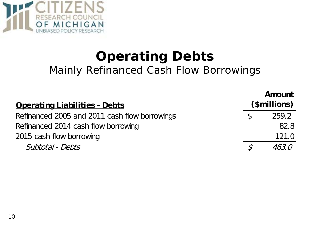

### **Operating Debts** *Mainly Refinanced Cash Flow Borrowings*

| <b>Operating Liabilities - Debts</b>          |               | Amount<br>(\$millions) |
|-----------------------------------------------|---------------|------------------------|
| Refinanced 2005 and 2011 cash flow borrowings | <sup>\$</sup> | 259.2                  |
| Refinanced 2014 cash flow borrowing           |               | 82.8                   |
| 2015 cash flow borrowing                      |               | 121.0                  |
| Subtotal - Debts                              |               | 46.3.0                 |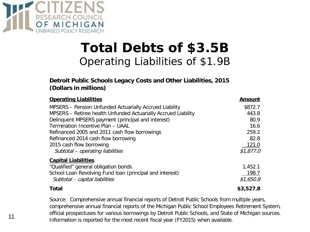

#### **Total Debts of \$3.5B** *Operating Liabilities of \$1.9B*

#### **Detroit Public Schools Legacy Costs and Other Liabilities, 2015 (Dollars in millions)**

| <b>Operating Liabilities</b>                                   | <b>Amount</b> |
|----------------------------------------------------------------|---------------|
| MPSERS - Pension Unfunded Actuarially Accrued Liability        | \$872.7       |
| MPSERS - Retiree health Unfunded Actuarially Accrued Liability | 443.8         |
| Delinquent MPSERS payment (principal and interest)             | 80.9          |
| Termination Incentive Plan - UAAL                              | 16.6          |
| Refinanced 2005 and 2011 cash flow borrowings                  | 259.2         |
| Refinanced 2014 cash flow borrowing                            | 82.8          |
| 2015 cash flow borrowing                                       | 121.0         |
| Subtotal - operating liabilities                               | \$1,877.0     |
| <b>Capital Liabilities</b>                                     |               |
| "Qualified" general obligation bonds                           | 1,452.1       |
| School Loan Revolving Fund loan (principal and interest)       | 198.7         |
| Subtotal - capital liabilities                                 | \$1,650.8     |
| <b>Total</b>                                                   | \$3,527.8     |

Source: Comprehensive annual financial reports of Detroit Public Schools from multiple years, comprehensive annual financial reports of the Michigan Public School Employees Retirement System, official prospectuses for various borrowings by Detroit Public Schools, and State of Michigan sources. Information is reported for the most recent fiscal year (FY2015) when available.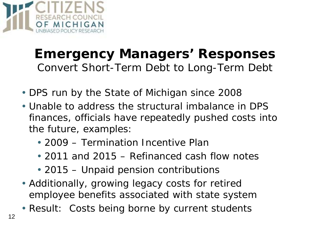

#### **Emergency Managers' Responses** *Convert Short-Term Debt to Long-Term Debt*

- DPS run by the State of Michigan since 2008
- Unable to address the structural imbalance in DPS finances, officials have repeatedly pushed costs into the future, examples:
	- 2009 Termination Incentive Plan
	- 2011 and 2015 Refinanced cash flow notes
	- 2015 Unpaid pension contributions
- Additionally, growing legacy costs for retired employee benefits associated with state system
- Result: Costs being borne by current students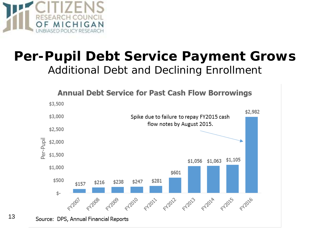

#### **Per-Pupil Debt Service Payment Grows** *Additional Debt and Declining Enrollment*



13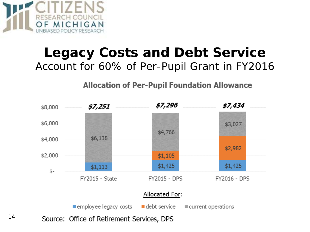

#### **Legacy Costs and Debt Service** *Account for 60% of Per-Pupil Grant in FY2016*

**Allocation of Per-Pupil Foundation Allowance** 



14Source: Office of Retirement Services, DPS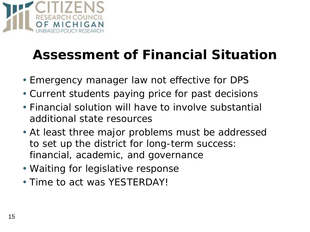

## **Assessment of Financial Situation**

- Emergency manager law not effective for DPS
- Current students paying price for past decisions
- Financial solution will have to involve substantial additional state resources
- At least three major problems must be addressed to set up the district for long-term success: financial, academic, and governance
- Waiting for legislative response
- Time to act was YESTERDAY!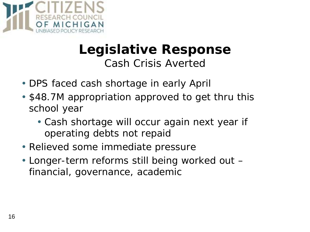

#### **Legislative Response** *Cash Crisis Averted*

- DPS faced cash shortage in early April
- \$48.7M appropriation approved to get thru this school year
	- Cash shortage will occur again next year if operating debts not repaid
- Relieved some immediate pressure
- Longer-term reforms still being worked out financial, governance, academic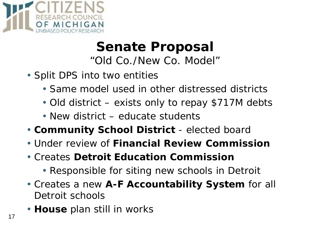

#### **Senate Proposal** *"Old Co./New Co. Model"*

- Split DPS into two entities
	- Same model used in other distressed districts
	- Old district exists only to repay \$717M debts
	- New district educate students
- **Community School District** elected board
- Under review of **Financial Review Commission**
- Creates **Detroit Education Commission**
	- Responsible for siting new schools in Detroit
- Creates a new **A-F Accountability System** for all Detroit schools
- **House** plan still in works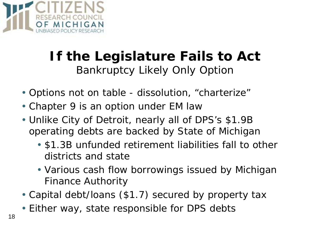

### **If the Legislature Fails to Act** *Bankruptcy Likely Only Option*

- Options not on table dissolution, "charterize"
- Chapter 9 is an option under EM law
- Unlike City of Detroit, nearly all of DPS's \$1.9B operating debts are backed by State of Michigan
	- \$1.3B unfunded retirement liabilities fall to other districts and state
	- Various cash flow borrowings issued by Michigan Finance Authority
- Capital debt/loans (\$1.7) secured by property tax
- Either way, state responsible for DPS debts